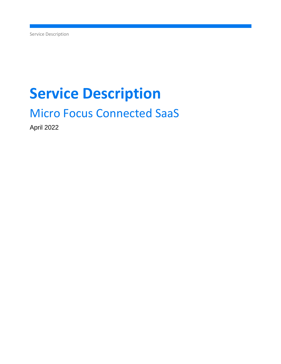Service Description

# **Service Description**

# Micro Focus Connected SaaS

April 2022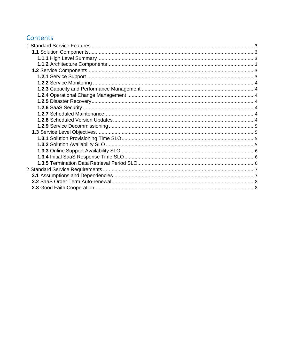# <span id="page-1-0"></span>Contents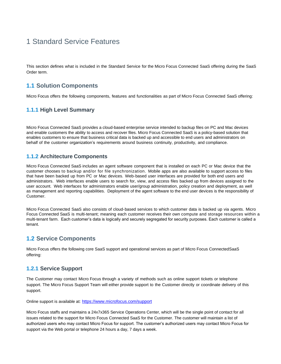# 1 Standard Service Features

This section defines what is included in the Standard Service for the Micro Focus Connected SaaS offering during the SaaS Order term.

# <span id="page-2-0"></span>**1.1 Solution Components**

Micro Focus offers the following components, features and functionalities as part of Micro Focus Connected SaaS offering:

# <span id="page-2-1"></span>**1.1.1 High Level Summary**

Micro Focus Connected SaaS provides a cloud-based enterprise service intended to backup files on PC and Mac devices and enable customers the ability to access and recover files. Micro Focus Connected SaaS is a policy-based solution that enables customers to ensure that business critical data is backed up and accessible to end users and administrators on behalf of the customer organization's requirements around business continuity, productivity, and compliance.

#### <span id="page-2-2"></span>**1.1.2 Architecture Components**

Micro Focus Connected SaaS includes an agent software component that is installed on each PC or Mac device that the customer chooses to backup and/or for file synchronization. Mobile apps are also available to support access to files that have been backed up from PC or Mac devices. Web-based user interfaces are provided for both end users and administrators. Web interfaces enable users to search for, view, and access files backed up from devices assigned to the user account. Web interfaces for administrators enable user/group administration, policy creation and deployment, as well as management and reporting capabilities. Deployment of the agent software to the end user devices is the responsibility of Customer.

Micro Focus Connected SaaS also consists of cloud-based services to which customer data is backed up via agents. Micro Focus Connected SaaS is multi-tenant; meaning each customer receives their own compute and storage resources within a multi-tenant farm. Each customer's data is logically and securely segregated for security purposes. Each customer is called a tenant.

# <span id="page-2-3"></span>**1.2 Service Components**

Micro Focus offers the following core SaaS support and operational services as part of Micro Focus ConnectedSaaS offering:

### <span id="page-2-4"></span>**1.2.1 Service Support**

The Customer may contact Micro Focus through a variety of methods such as online support tickets or telephone support. The Micro Focus Support Team will either provide support to the Customer directly or coordinate delivery of this support.

Online support is available at: <https://www.microfocus.com/support>

Micro Focus staffs and maintains a 24x7x365 Service Operations Center, which will be the single point of contact for all issues related to the support for Micro Focus Connected SaaS for the Customer. The customer will maintain a list of authorized users who may contact Micro Focus for support. The customer's authorized users may contact Micro Focus for support via the Web portal or telephone 24 hours a day, 7 days a week.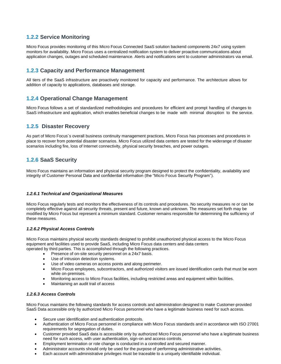# <span id="page-3-0"></span>**1.2.2 Service Monitoring**

Micro Focus provides monitoring of this Micro Focus Connected SaaS solution backend components 24x7 using system monitors for availability. Micro Focus uses a centralized notification system to deliver proactive communications about application changes, outages and scheduled maintenance. Alerts and notifications sent to customer administrators via email.

#### <span id="page-3-1"></span>**1.2.3 Capacity and Performance Management**

All tiers of the SaaS infrastructure are proactively monitored for capacity and performance. The architecture allows for addition of capacity to applications, databases and storage.

#### <span id="page-3-2"></span>**1.2.4 Operational Change Management**

Micro Focus follows a set of standardized methodologies and procedures for efficient and prompt handling of changes to SaaS infrastructure and application, which enables beneficial changes to be made with minimal disruption to the service.

#### <span id="page-3-3"></span>**1.2.5 Disaster Recovery**

As part of Micro Focus´s overall business continuity management practices, Micro Focus has processes and procedures in place to recover from potential disaster scenarios. Micro Focus utilized data centers are tested for the widerange of disaster scenarios including fire, loss of Internet connectivity, physical security breaches, and power outages.

### <span id="page-3-4"></span>**1.2.6 SaaS Security**

Micro Focus maintains an information and physical security program designed to protect the confidentiality, availability and integrity of Customer Personal Data and confidential information (the "Micro Focus Security Program").

#### <span id="page-3-5"></span>*1.2.6.1 Technical and Organizational Measures*

Micro Focus regularly tests and monitors the effectiveness of its controls and procedures. No security measures re or can be completely effective against all security threats, present and future, known and unknown. The measures set forth may be modified by Micro Focus but represent a minimum standard. Customer remains responsible for determining the sufficiency of these measures.

#### *1.2.6.2 Physical Access Controls*

Micro Focus maintains physical security standards designed to prohibit unauthorized physical access to the Micro Focus equipment and facilities used to provide SaaS, including Micro Focus data centers and data centers operated by third parties. This is accomplished through the following practices.

- Presence of on-site security personnel on a 24x7 basis.
- Use of intrusion detection systems.
- Use of video cameras on access points and along perimeter.
- Micro Focus employees, subcontractors, and authorized visitors are issued identification cards that must be worn while on-premises.
- Monitoring access to Micro Focus facilities, including restricted areas and equipment within facilities.
- Maintaining an audit trail of access

#### *1.2.6.3 Access Controls*

Micro Focus maintains the following standards for access controls and administration designed to make Customer-provided SaaS Data accessible only by authorized Micro Focus personnel who have a legitimate business need for such access.

- Secure user identification and authentication protocols.
- Authentication of Micro Focus personnel in compliance with Micro Focus standards and in accordance with ISO 27001 requirements for segregation of duties.
- Customer provided SaaS data is accessible only by authorized Micro Focus personnel who have a legitimate business need for such access, with user authentication, sign-on and access controls.
- Employment termination or role change is conducted in a controlled and secured manner.
- Administrator accounts should only be used for the purpose of performing administrative activities.
- Each account with administrative privileges must be traceable to a uniquely identifiable individual.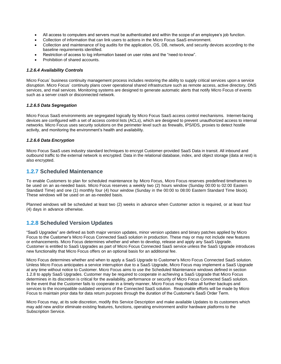- All access to computers and servers must be authenticated and within the scope of an employee's job function.
- Collection of information that can link users to actions in the Micro Focus SaaS environment.
- Collection and maintenance of log audits for the application, OS, DB, network, and security devices according to the baseline requirements identified.
- Restriction of access to log information based on user roles and the "need-to-know".
- Prohibition of shared accounts.

#### *1.2.6.4 Availability Controls*

Micro Focus´ business continuity management process includes restoring the ability to supply critical services upon a service disruption. Micro Focus´ continuity plans cover operational shared infrastructure such as remote access, active directory, DNS services, and mail services. Monitoring systems are designed to generate automatic alerts that notify Micro Focus of events such as a server crash or disconnected network.

#### *1.2.6.5 Data Segregation*

Micro Focus SaaS environments are segregated logically by Micro Focus SaaS access control mechanisms. Internet-facing devices are configured with a set of access control lists (ACLs), which are designed to prevent unauthorized access to internal networks. Micro Focus uses security solutions on the perimeter level such as firewalls, IPS/IDS, proxies to detect hostile activity, and monitoring the environment's health and availability.

#### *1.2.6.6 Data Encryption*

Micro Focus SaaS uses industry standard techniques to encrypt Customer-provided SaaS Data in transit. All inbound and outbound traffic to the external network is encrypted. Data in the relational database, index, and object storage (data at rest) is also encrypted.

#### **1.2.7 Scheduled Maintenance**

To enable Customers to plan for scheduled maintenance by Micro Focus, Micro Focus reserves predefined timeframes to be used on an as-needed basis. Micro Focus reserves a weekly two (2) hours window (Sunday 00:00 to 02:00 Eastern Standard Time) and one (1) monthly four (4) hour window (Sunday in the 00:00 to 08:00 Eastern Standard Time block). These windows will be used on an as-needed basis.

Planned windows will be scheduled at least two (2) weeks in advance when Customer action is required, or at least four (4) days in advance otherwise.

#### <span id="page-4-0"></span>**1.2.8 Scheduled Version Updates**

"SaaS Upgrades" are defined as both major version updates, minor version updates and binary patches applied by Micro Focus to the Customer's Micro Focus Connected SaaS solution in production. These may or may not include new features or enhancements. Micro Focus determines whether and when to develop, release and apply any SaaS Upgrade. Customer is entitled to SaaS Upgrades as part of Micro Focus Connected SaaS service unless the SaaS Upgrade introduces new functionality that Micro Focus offers on an optional basis for an additional fee.

Micro Focus determines whether and when to apply a SaaS Upgrade to Customer's Micro Focus Connected SaaS solution. Unless Micro Focus anticipates a service interruption due to a SaaS Upgrade, Micro Focus may implement a SaaS Upgrade at any time without notice to Customer. Micro Focus aims to use the Scheduled Maintenance windows defined in section 1.2.8 to apply SaaS Upgrades. Customer may be required to cooperate in achieving a SaaS Upgrade that Micro Focus determines in its discretion is critical for the availability, performance or security of Micro Focus Connected SaaS solution. In the event that the Customer fails to cooperate in a timely manner, Micro Focus may disable all further backups and services to the incompatible outdated versions of the Connected SaaS solution. Reasonable efforts will be made by Micro Focus to maintain prior data for data return purposes through the duration of the Customer's SaaS Order Term.

Micro Focus may, at its sole discretion, modify this Service Description and make available Updates to its customers which may add new and/or eliminate existing features, functions, operating environment and/or hardware platforms to the Subscription Service.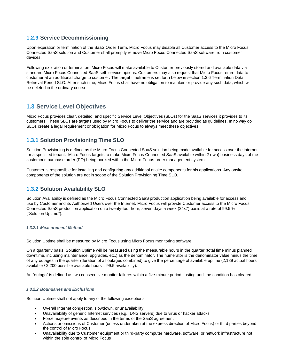## <span id="page-5-0"></span>**1.2.9 Service Decommissioning**

Upon expiration or termination of the SaaS Order Term, Micro Focus may disable all Customer access to the Micro Focus Connected SaaS solution and Customer shall promptly remove Micro Focus Connected SaaS software from customer devices.

Following expiration or termination, Micro Focus will make available to Customer previously stored and available data via standard Micro Focus Connected SaaS self–service options. Customers may also request that Micro Focus return data to customer at an additional charge to customer. The target timeframe is set forth below in section 1.3.6 Termination Data Retrieval Period SLO. After such time, Micro Focus shall have no obligation to maintain or provide any such data, which will be deleted in the ordinary course.

# <span id="page-5-1"></span>**1.3 Service Level Objectives**

Micro Focus provides clear, detailed, and specific Service Level Objectives (SLOs) for the SaaS services it provides to its customers. These SLOs are targets used by Micro Focus to deliver the service and are provided as guidelines. In no way do SLOs create a legal requirement or obligation for Micro Focus to always meet these objectives.

# <span id="page-5-2"></span>**1.3.1 Solution Provisioning Time SLO**

Solution Provisioning is defined as the Micro Focus Connected SaaS solution being made available for access over the internet for a specified tenant. Micro Focus targets to make Micro Focus Connected SaaS available within 2 (two) business days of the customer's purchase order (PO) being booked within the Micro Focus order management system.

Customer is responsible for installing and configuring any additional onsite components for his applications. Any onsite components of the solution are not in scope of the Solution Provisioning Time SLO.

# <span id="page-5-3"></span>**1.3.2 Solution Availability SLO**

Solution Availability is defined as the Micro Focus Connected SaaS production application being available for access and use by Customer and its Authorized Users over the Internet. Micro Focus will provide Customer access to the Micro Focus Connected SaaS production application on a twenty-four hour, seven days a week (24x7) basis at a rate of 99.5 % ("Solution Uptime").

#### *1.3.2.1 Measurement Method*

Solution Uptime shall be measured by Micro Focus using Micro Focus monitoring software.

On a quarterly basis, Solution Uptime will be measured using the measurable hours in the quarter (total time minus planned downtime, including maintenance, upgrades, etc.) as the denominator. The numerator is the denominator value minus the time of any outages in the quarter (duration of all outages combined) to give the percentage of available uptime (2,189 actual hours available / 2,200 possible available hours = 99.5 availability).

An "outage" is defined as two consecutive monitor failures within a five-minute period, lasting until the condition has cleared.

#### *1.3.2.2 Boundaries and Exclusions*

Solution Uptime shall not apply to any of the following exceptions:

- Overall Internet congestion, slowdown, or unavailability
- Unavailability of generic Internet services (e.g., DNS servers) due to virus or hacker attacks
- Force majeure events as described in the terms of the SaaS agreement
- Actions or omissions of Customer (unless undertaken at the express direction of Micro Focus) or third parties beyond the control of Micro Focus
- Unavailability due to Customer equipment or third-party computer hardware, software, or network infrastructure not within the sole control of Micro Focus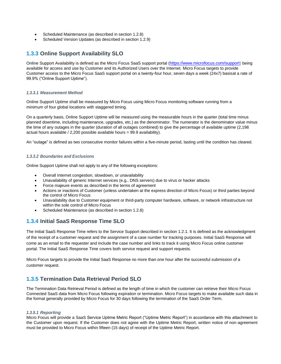- Scheduled Maintenance (as described in section 1.2.8)
- Scheduled Version Updates (as described in section 1.2.9)

## <span id="page-6-0"></span>**1.3.3 Online Support Availability SLO**

Online Support Availability is defined as the Micro Focus SaaS support portal ([https://www.microfocus.com/support\)](https://www.microfocus.com/support) being available for access and use by Customer and its Authorized Users over the Internet. Micro Focus targets to provide Customer access to the Micro Focus SaaS support portal on a twenty-four hour, seven days a week (24x7) basisat a rate of 99.9% ("Online Support Uptime").

#### *1.3.3.1 Measurement Method*

Online Support Uptime shall be measured by Micro Focus using Micro Focus monitoring software running from a minimum of four global locations with staggered timing.

On a quarterly basis, Online Support Uptime will be measured using the measurable hours in the quarter (total time minus planned downtime, including maintenance, upgrades, etc.) as the denominator. The numerator is the denominator value minus the time of any outages in the quarter (duration of all outages combined) to give the percentage of available uptime (2,198 actual hours available / 2,200 possible available hours = 99.9 availability).

An "outage" is defined as two consecutive monitor failures within a five-minute period, lasting until the condition has cleared.

#### *1.3.3.2 Boundaries and Exclusions*

Online Support Uptime shall not apply to any of the following exceptions:

- Overall Internet congestion, slowdown, or unavailability
- Unavailability of generic Internet services (e.g., DNS servers) due to virus or hacker attacks
- Force majeure events as described in the terms of agreement
- Actions or inactions of Customer (unless undertaken at the express direction of Micro Focus) or third parties beyond the control of Micro Focus
- Unavailability due to Customer equipment or third-party computer hardware, software, or network infrastructure not within the sole control of Micro Focus
- Scheduled Maintenance (as described in section 1.2.8)

### <span id="page-6-1"></span>**1.3.4 Initial SaaS Response Time SLO**

The Initial SaaS Response Time refers to the Service Support described in section 1.2.1. It is defined as the acknowledgment of the receipt of a customer request and the assignment of a case number for tracking purposes. Initial SaaS Response will come as an email to the requester and include the case number and links to track it using Micro Focus online customer portal. The Initial SaaS Response Time covers both service request and support requests.

Micro Focus targets to provide the Initial SaaS Response no more than one hour after the successful submission of a customer request.

### <span id="page-6-2"></span>**1.3.5 Termination Data Retrieval Period SLO**

The Termination Data Retrieval Period is defined as the length of time in which the customer can retrieve their Micro Focus Connected SaaS data from Micro Focus following expiration or termination. Micro Focus targets to make available such data in the format generally provided by Micro Focus for 30 days following the termination of the SaaS Order Term.

#### *1.3.5.1 Reporting*

Micro Focus will provide a SaaS Service Uptime Metric Report ("Uptime Metric Report") in accordance with this attachment to the Customer upon request. If the Customer does not agree with the Uptime Metric Report, written notice of non-agreement must be provided to Micro Focus within fifteen (15 days) of receipt of the Uptime Metric Report.